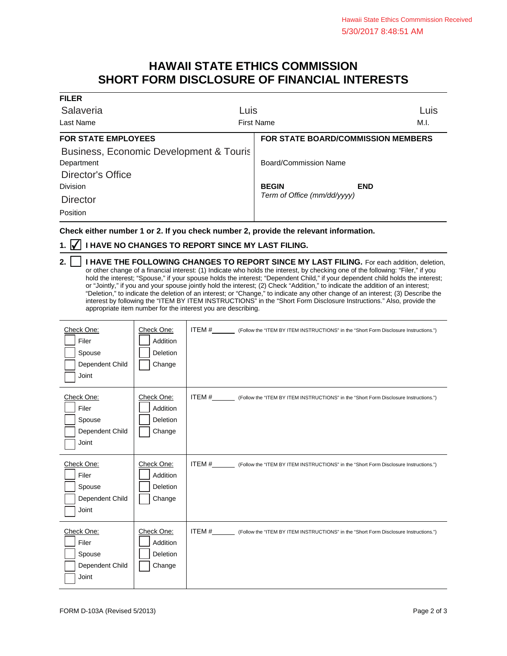## **HAWAII STATE ETHICS COMMISSION SHORT FORM DISCLOSURE OF FINANCIAL INTERESTS**

| <b>FILER</b>                            |                                           |      |
|-----------------------------------------|-------------------------------------------|------|
| Salaveria                               | Luis                                      | Luis |
| Last Name                               | <b>First Name</b>                         |      |
| <b>FOR STATE EMPLOYEES</b>              | <b>FOR STATE BOARD/COMMISSION MEMBERS</b> |      |
| Business, Economic Development & Touris |                                           |      |
| Department                              | Board/Commission Name                     |      |
| Director's Office                       |                                           |      |
| Division                                | <b>BEGIN</b><br><b>END</b>                |      |
| <b>Director</b>                         | Term of Office (mm/dd/yyyy)               |      |
| Position                                |                                           |      |

**Check either number 1 or 2. If you check number 2, provide the relevant information.**

## **1. ⊘ I HAVE NO CHANGES TO REPORT SINCE MY LAST FILING.**

Т

| 2.     I HAVE THE FOLLOWING CHANGES TO REPORT SINCE MY LAST FILING. For each addition, deletion,                                |
|---------------------------------------------------------------------------------------------------------------------------------|
| or other change of a financial interest: (1) Indicate who holds the interest, by checking one of the following: "Filer," if you |
| hold the interest; "Spouse," if your spouse holds the interest; "Dependent Child," if your dependent child holds the interest;  |
| or "Jointly," if you and your spouse jointly hold the interest; (2) Check "Addition," to indicate the addition of an interest;  |
| "Deletion," to indicate the deletion of an interest; or "Change," to indicate any other change of an interest; (3) Describe the |
| interest by following the "ITEM BY ITEM INSTRUCTIONS" in the "Short Form Disclosure Instructions." Also, provide the            |
| appropriate item number for the interest you are describing.                                                                    |

| Check One:<br>Filer<br>Spouse<br>Dependent Child<br>Joint | Check One:<br>Addition<br>Deletion<br>Change | ITEM #__________ (Follow the "ITEM BY ITEM INSTRUCTIONS" in the "Short Form Disclosure Instructions.") |
|-----------------------------------------------------------|----------------------------------------------|--------------------------------------------------------------------------------------------------------|
| Check One:<br>Filer<br>Spouse<br>Dependent Child<br>Joint | Check One:<br>Addition<br>Deletion<br>Change | ITEM #__________ (Follow the "ITEM BY ITEM INSTRUCTIONS" in the "Short Form Disclosure Instructions.") |
| Check One:                                                |                                              | ITEM #__________ (Follow the "ITEM BY ITEM INSTRUCTIONS" in the "Short Form Disclosure Instructions.") |
| Filer<br>Spouse<br>Dependent Child<br>Joint               | Check One:<br>Addition<br>Deletion<br>Change |                                                                                                        |